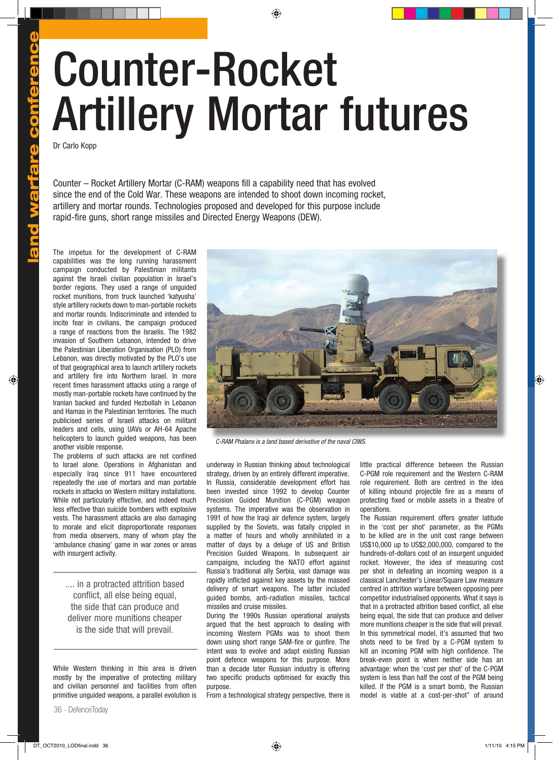## land warfare conference and warfare conference

## Counter-Rocket Artillery Mortar futures

Dr Carlo Kopp

Counter – Rocket Artillery Mortar (C-RAM) weapons fill a capability need that has evolved since the end of the Cold War. These weapons are intended to shoot down incoming rocket, artillery and mortar rounds. Technologies proposed and developed for this purpose include rapid-fire guns, short range missiles and Directed Energy Weapons (DEW).

The impetus for the development of C-RAM capabilities was the long running harassment campaign conducted by Palestinian militants against the Israeli civilian population in Israel's border regions. They used a range of unguided rocket munitions, from truck launched 'katyusha' style artillery rockets down to man-portable rockets and mortar rounds. Indiscriminate and intended to incite fear in civilians, the campaign produced a range of reactions from the Israelis. The 1982 invasion of Southern Lebanon, intended to drive the Palestinian Liberation Organisation (PLO) from Lebanon, was directly motivated by the PLO's use of that geographical area to launch artillery rockets and artillery fire into Northern Israel. In more recent times harassment attacks using a range of mostly man-portable rockets have continued by the Iranian backed and funded Hezbollah in Lebanon and Hamas in the Palestinian territories. The much publicised series of Israeli attacks on militant leaders and cells, using UAVs or AH-64 Apache helicopters to launch guided weapons, has been another visible response.

The problems of such attacks are not confined to Israel alone. Operations in Afghanistan and especially Iraq since 911 have encountered repeatedly the use of mortars and man portable rockets in attacks on Western military installations. While not particularly effective, and indeed much less effective than suicide bombers with explosive vests. The harassment attacks are also damaging to morale and elicit disproportionate responses from media observers, many of whom play the 'ambulance chasing' game in war zones or areas with insurgent activity.

.... in a protracted attrition based conflict, all else being equal, the side that can produce and deliver more munitions cheaper is the side that will prevail.

While Western thinking in this area is driven mostly by the imperative of protecting military and civilian personnel and facilities from often primitive unguided weapons, a parallel evolution is



*C-RAM Phalanx is a land based derivative of the naval CIWS.*

underway in Russian thinking about technological strategy, driven by an entirely different imperative. In Russia, considerable development effort has been invested since 1992 to develop Counter Precision Guided Munition (C-PGM) weapon systems. The imperative was the observation in 1991 of how the Iraqi air defence system, largely supplied by the Soviets, was fatally crippled in a matter of hours and wholly annihilated in a matter of days by a deluge of US and British Precision Guided Weapons. In subsequent air campaigns, including the NATO effort against Russia's traditional ally Serbia, vast damage was rapidly inflicted against key assets by the massed delivery of smart weapons. The latter included guided bombs, anti-radiation missiles, tactical missiles and cruise missiles.

During the 1990s Russian operational analysts argued that the best approach to dealing with incoming Western PGMs was to shoot them down using short range SAM-fire or gunfire. The intent was to evolve and adapt existing Russian point defence weapons for this purpose. More than a decade later Russian industry is offering two specific products optimised for exactly this purpose.

From a technological strategy perspective, there is

little practical difference between the Russian C-PGM role requirement and the Western C-RAM role requirement. Both are centred in the idea of killing inbound projectile fire as a means of protecting fixed or mobile assets in a theatre of operations.

The Russian requirement offers greater latitude in the 'cost per shot' parameter, as the PGMs to be killed are in the unit cost range between US\$10,000 up to US\$2,000,000, compared to the hundreds-of-dollars cost of an insurgent unguided rocket. However, the idea of measuring cost per shot in defeating an incoming weapon is a classical Lanchester's Linear/Square Law measure centred in attrition warfare between opposing peer competitor industrialised opponents. What it says is that in a protracted attrition based conflict, all else being equal, the side that can produce and deliver more munitions cheaper is the side that will prevail. In this symmetrical model, it's assumed that two shots need to be fired by a C-PGM system to kill an incoming PGM with high confidence. The break-even point is when neither side has an advantage: when the 'cost per shot' of the C-PGM system is less than half the cost of the PGM being killed. If the PGM is a smart bomb, the Russian model is viable at a cost-per-shot" of around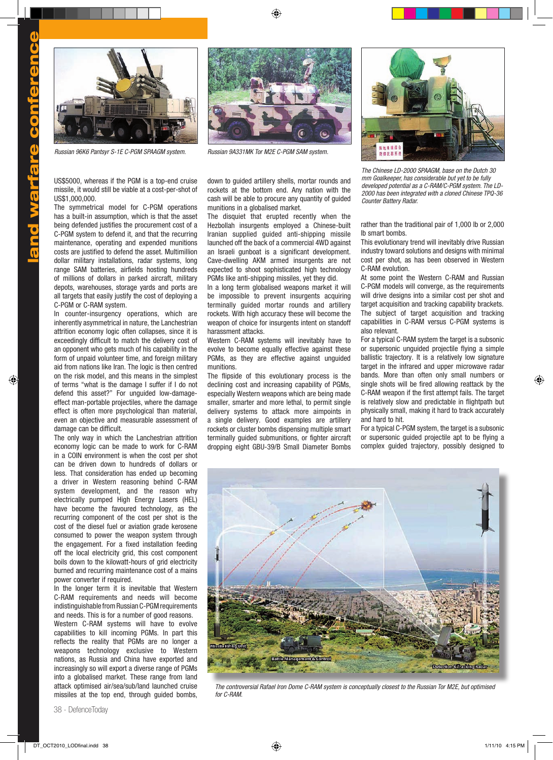

*Russian 96K6 Pantsyr S-1E C-PGM SPAAGM system. Russian 9A331MK Tor M2E C-PGM SAM system.*

US\$5000, whereas if the PGM is a top-end cruise missile, it would still be viable at a cost-per-shot of US\$1,000,000.

The symmetrical model for C-PGM operations has a built-in assumption, which is that the asset being defended justifies the procurement cost of a C-PGM system to defend it, and that the recurring maintenance, operating and expended munitions costs are justified to defend the asset. Multimillion dollar military installations, radar systems, long range SAM batteries, airfields hosting hundreds of millions of dollars in parked aircraft, military depots, warehouses, storage yards and ports are all targets that easily justify the cost of deploying a C-PGM or C-RAM system.

In counter-insurgency operations, which are inherently asymmetrical in nature, the Lanchestrian attrition economy logic often collapses, since it is exceedingly difficult to match the delivery cost of an opponent who gets much of his capability in the form of unpaid volunteer time, and foreign military aid from nations like Iran. The logic is then centred on the risk model, and this means in the simplest of terms "what is the damage I suffer if I do not defend this asset?" For unguided low-damageeffect man-portable projectiles, where the damage effect is often more psychological than material, even an objective and measurable assessment of damage can be difficult.

The only way in which the Lanchestrian attrition economy logic can be made to work for C-RAM in a COIN environment is when the cost per shot can be driven down to hundreds of dollars or less. That consideration has ended up becoming a driver in Western reasoning behind C-RAM system development, and the reason why electrically pumped High Energy Lasers (HEL) have become the favoured technology, as the recurring component of the cost per shot is the cost of the diesel fuel or aviation grade kerosene consumed to power the weapon system through the engagement. For a fixed installation feeding off the local electricity grid, this cost component boils down to the kilowatt-hours of grid electricity burned and recurring maintenance cost of a mains power converter if required.

In the longer term it is inevitable that Western C-RAM requirements and needs will become indistinguishable from Russian C-PGM requirements

and needs. This is for a number of good reasons. Western C-RAM systems will have to evolve capabilities to kill incoming PGMs. In part this reflects the reality that PGMs are no longer a weapons technology exclusive to Western nations, as Russia and China have exported and increasingly so will export a diverse range of PGMs into a globalised market. These range from land attack optimised air/sea/sub/land launched cruise missiles at the top end, through guided bombs,



down to guided artillery shells, mortar rounds and rockets at the bottom end. Any nation with the cash will be able to procure any quantity of guided munitions in a globalised market.

The disquiet that erupted recently when the Hezbollah insurgents employed a Chinese-built Iranian supplied guided anti-shipping missile launched off the back of a commercial 4WD against an Israeli gunboat is a significant development. Cave-dwelling AKM armed insurgents are not expected to shoot sophisticated high technology PGMs like anti-shipping missiles, yet they did.

In a long term globalised weapons market it will be impossible to prevent insurgents acquiring terminally guided mortar rounds and artillery rockets. With high accuracy these will become the weapon of choice for insurgents intent on standoff harassment attacks.

Western C-RAM systems will inevitably have to evolve to become equally effective against these PGMs, as they are effective against unguided munitions.

The flipside of this evolutionary process is the declining cost and increasing capability of PGMs, especially Western weapons which are being made smaller, smarter and more lethal, to permit single delivery systems to attack more aimpoints in a single delivery. Good examples are artillery rockets or cluster bombs dispensing multiple smart terminally guided submunitions, or fighter aircraft dropping eight GBU-39/B Small Diameter Bombs



*The Chinese LD-2000 SPAAGM, base on the Dutch 30 mm Goalkeeper, has considerable but yet to be fully developed potential as a C-RAM/C-PGM system. The LD-2000 has been integrated with a cloned Chinese TPQ-36 Counter Battery Radar.*

rather than the traditional pair of 1,000 lb or 2,000 lb smart bombs.

This evolutionary trend will inevitably drive Russian industry toward solutions and designs with minimal cost per shot, as has been observed in Western C-RAM evolution.

At some point the Western C-RAM and Russian C-PGM models will converge, as the requirements will drive designs into a similar cost per shot and target acquisition and tracking capability brackets. The subject of target acquisition and tracking capabilities in C-RAM versus C-PGM systems is also relevant.

For a typical C-RAM system the target is a subsonic or supersonic unguided projectile flying a simple ballistic trajectory. It is a relatively low signature target in the infrared and upper microwave radar bands. More than often only small numbers or single shots will be fired allowing reattack by the C-RAM weapon if the first attempt fails. The target is relatively slow and predictable in flightpath but physically small, making it hard to track accurately and hard to hit.

For a typical C-PGM system, the target is a subsonic or supersonic guided projectile apt to be flying a complex guided trajectory, possibly designed to



*The controversial Rafael Iron Dome C-RAM system is conceptually closest to the Russian Tor M2E, but optimised for C-RAM.*